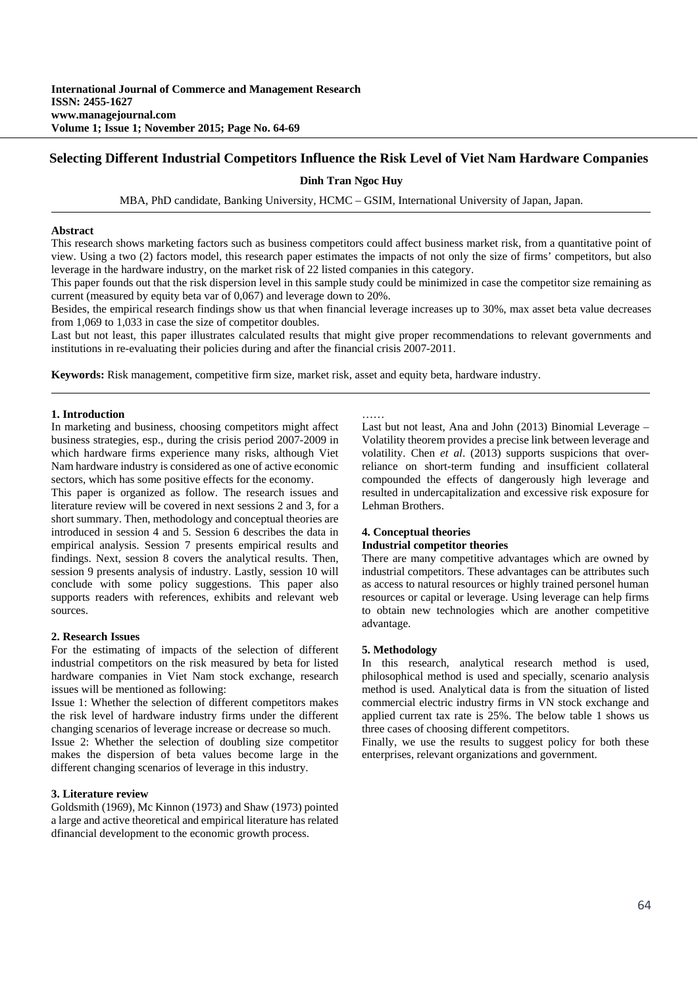## **Selecting Different Industrial Competitors Influence the Risk Level of Viet Nam Hardware Companies**

**Dinh Tran Ngoc Huy** 

MBA, PhD candidate, Banking University*,* HCMC – GSIM, International University of Japan, Japan.

#### **Abstract**

This research shows marketing factors such as business competitors could affect business market risk, from a quantitative point of view. Using a two (2) factors model, this research paper estimates the impacts of not only the size of firms' competitors, but also leverage in the hardware industry, on the market risk of 22 listed companies in this category.

This paper founds out that the risk dispersion level in this sample study could be minimized in case the competitor size remaining as current (measured by equity beta var of 0,067) and leverage down to 20%.

Besides, the empirical research findings show us that when financial leverage increases up to 30%, max asset beta value decreases from 1,069 to 1,033 in case the size of competitor doubles.

Last but not least, this paper illustrates calculated results that might give proper recommendations to relevant governments and institutions in re-evaluating their policies during and after the financial crisis 2007-2011.

………

**Keywords:** Risk management, competitive firm size, market risk, asset and equity beta, hardware industry.

### **1. Introduction**

In marketing and business, choosing competitors might affect business strategies, esp., during the crisis period 2007-2009 in which hardware firms experience many risks, although Viet Nam hardware industry is considered as one of active economic sectors, which has some positive effects for the economy.

This paper is organized as follow. The research issues and literature review will be covered in next sessions 2 and 3, for a short summary. Then, methodology and conceptual theories are introduced in session 4 and 5. Session 6 describes the data in empirical analysis. Session 7 presents empirical results and findings. Next, session 8 covers the analytical results. Then, session 9 presents analysis of industry. Lastly, session 10 will conclude with some policy suggestions. This paper also supports readers with references, exhibits and relevant web sources.

## **2. Research Issues**

For the estimating of impacts of the selection of different industrial competitors on the risk measured by beta for listed hardware companies in Viet Nam stock exchange, research issues will be mentioned as following:

Issue 1: Whether the selection of different competitors makes the risk level of hardware industry firms under the different changing scenarios of leverage increase or decrease so much.

Issue 2: Whether the selection of doubling size competitor makes the dispersion of beta values become large in the different changing scenarios of leverage in this industry.

## **3. Literature review**

Goldsmith (1969), Mc Kinnon (1973) and Shaw (1973) pointed a large and active theoretical and empirical literature has related dfinancial development to the economic growth process.

Last but not least, Ana and John (2013) Binomial Leverage – Volatility theorem provides a precise link between leverage and volatility. Chen *et al*. (2013) supports suspicions that overreliance on short-term funding and insufficient collateral compounded the effects of dangerously high leverage and resulted in undercapitalization and excessive risk exposure for Lehman Brothers.

#### **4. Conceptual theories**

### **Industrial competitor theories**

There are many competitive advantages which are owned by industrial competitors. These advantages can be attributes such as access to natural resources or highly trained personel human resources or capital or leverage. Using leverage can help firms to obtain new technologies which are another competitive advantage.

### **5. Methodology**

In this research, analytical research method is used, philosophical method is used and specially, scenario analysis method is used. Analytical data is from the situation of listed commercial electric industry firms in VN stock exchange and applied current tax rate is 25%. The below table 1 shows us three cases of choosing different competitors.

Finally, we use the results to suggest policy for both these enterprises, relevant organizations and government.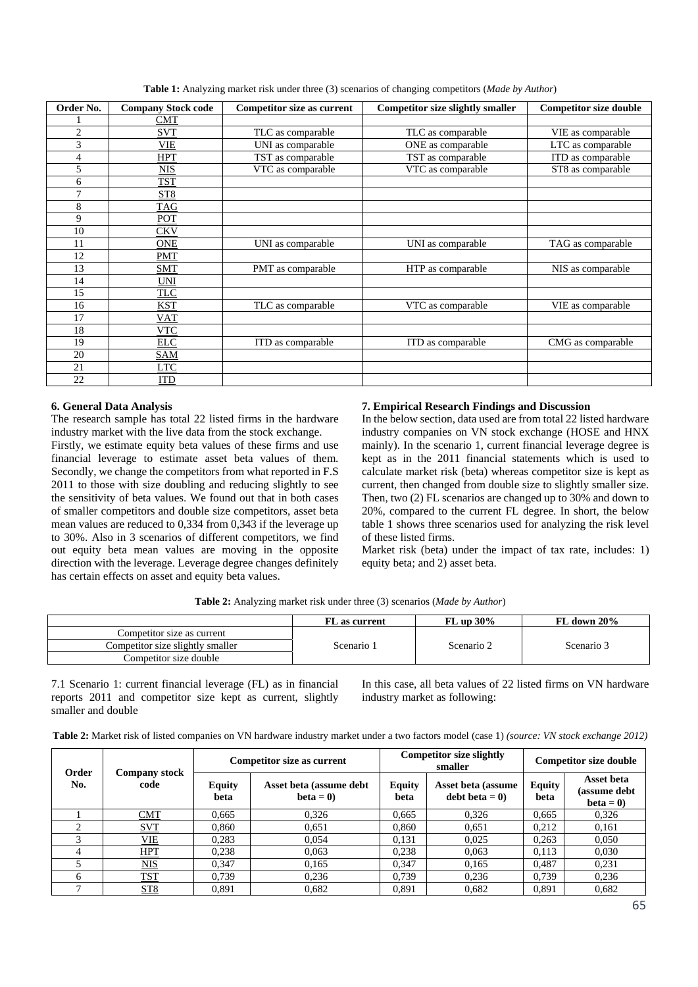| Order No.      | <b>Company Stock code</b> | <b>Competitor size as current</b> | <b>Competitor size slightly smaller</b> | <b>Competitor size double</b> |
|----------------|---------------------------|-----------------------------------|-----------------------------------------|-------------------------------|
|                | <b>CMT</b>                |                                   |                                         |                               |
| $\overline{2}$ | <b>SVT</b>                | TLC as comparable                 | TLC as comparable                       | VIE as comparable             |
| 3              | <b>VIE</b>                | UNI as comparable                 | ONE as comparable                       | LTC as comparable             |
| 4              | <b>HPT</b>                | TST as comparable                 | TST as comparable                       | ITD as comparable             |
| 5              | <b>NIS</b>                | VTC as comparable                 | VTC as comparable                       | ST8 as comparable             |
| 6              | <b>TST</b>                |                                   |                                         |                               |
| 7              | ST <sub>8</sub>           |                                   |                                         |                               |
| 8              | TAG                       |                                   |                                         |                               |
| 9              | POT                       |                                   |                                         |                               |
| 10             | <b>CKV</b>                |                                   |                                         |                               |
| 11             | <b>ONE</b>                | UNI as comparable                 | UNI as comparable                       | TAG as comparable             |
| 12             | <b>PMT</b>                |                                   |                                         |                               |
| 13             | <b>SMT</b>                | PMT as comparable                 | HTP as comparable                       | NIS as comparable             |
| 14             | <b>UNI</b>                |                                   |                                         |                               |
| 15             | <b>TLC</b>                |                                   |                                         |                               |
| 16             | <b>KST</b>                | TLC as comparable                 | VTC as comparable                       | VIE as comparable             |
| 17             | <b>VAT</b>                |                                   |                                         |                               |
| 18             | <b>VTC</b>                |                                   |                                         |                               |
| 19             | <b>ELC</b>                | ITD as comparable                 | ITD as comparable                       | CMG as comparable             |
| 20             | <b>SAM</b>                |                                   |                                         |                               |
| 21             | <b>LTC</b>                |                                   |                                         |                               |
| 22             | <b>ITD</b>                |                                   |                                         |                               |

**Table 1:** Analyzing market risk under three (3) scenarios of changing competitors (*Made by Author*)

# **6. General Data Analysis**

The research sample has total 22 listed firms in the hardware industry market with the live data from the stock exchange.

Firstly, we estimate equity beta values of these firms and use financial leverage to estimate asset beta values of them. Secondly, we change the competitors from what reported in F.S 2011 to those with size doubling and reducing slightly to see the sensitivity of beta values. We found out that in both cases of smaller competitors and double size competitors, asset beta mean values are reduced to 0,334 from 0,343 if the leverage up to 30%. Also in 3 scenarios of different competitors, we find out equity beta mean values are moving in the opposite direction with the leverage. Leverage degree changes definitely has certain effects on asset and equity beta values.

# **7. Empirical Research Findings and Discussion**

In the below section, data used are from total 22 listed hardware industry companies on VN stock exchange (HOSE and HNX mainly). In the scenario 1, current financial leverage degree is kept as in the 2011 financial statements which is used to calculate market risk (beta) whereas competitor size is kept as current, then changed from double size to slightly smaller size. Then, two (2) FL scenarios are changed up to 30% and down to 20%, compared to the current FL degree. In short, the below table 1 shows three scenarios used for analyzing the risk level of these listed firms.

Market risk (beta) under the impact of tax rate, includes: 1) equity beta; and 2) asset beta.

**Table 2:** Analyzing market risk under three (3) scenarios (*Made by Author*)

|                                  | FL as current | $FL$ up 30% | FL down $20\%$ |
|----------------------------------|---------------|-------------|----------------|
| Competitor size as current       |               |             |                |
| Competitor size slightly smaller | Scenario 1    | Scenario 2  | Scenario 3     |
| Competitor size double           |               |             |                |

7.1 Scenario 1: current financial leverage (FL) as in financial reports 2011 and competitor size kept as current, slightly smaller and double

In this case, all beta values of 22 listed firms on VN hardware industry market as following:

| Order |                              |                       | <b>Competitor size as current</b>     |                       | <b>Competitor size slightly</b><br>smaller | <b>Competitor size double</b>         |       |  |
|-------|------------------------------|-----------------------|---------------------------------------|-----------------------|--------------------------------------------|---------------------------------------|-------|--|
| No.   | <b>Company stock</b><br>code | <b>Equity</b><br>beta | Asset beta (assume debt<br>$beta = 0$ | <b>Equity</b><br>beta | Asset beta (assume<br>debt beta $= 0$      | <b>Equity</b><br>(assume debt<br>beta |       |  |
|       | CMT                          | 0.665                 | 0.326                                 | 0.665                 | 0,326                                      | 0.665                                 | 0,326 |  |
|       | <b>SVT</b>                   | 0.860                 | 0.651                                 | 0.860                 | 0.651                                      | 0.212                                 | 0,161 |  |
|       | <b>VIE</b>                   | 0.283                 | 0.054                                 | 0.131                 | 0.025                                      | 0.263                                 | 0,050 |  |
| 4     | <b>HPT</b>                   | 0.238                 | 0.063                                 | 0,238                 | 0.063                                      | 0.113                                 | 0,030 |  |
|       | NIS                          | 0.347                 | 0.165                                 | 0.347                 | 0.165                                      | 0,487                                 | 0,231 |  |
| 6     | <u>TST</u>                   | 0.739                 | 0.236                                 | 0.739                 | 0,236                                      | 0.739                                 | 0,236 |  |
|       | ST <sub>8</sub>              | 0.891                 | 0,682                                 | 0,891                 | 0,682                                      | 0.891                                 | 0,682 |  |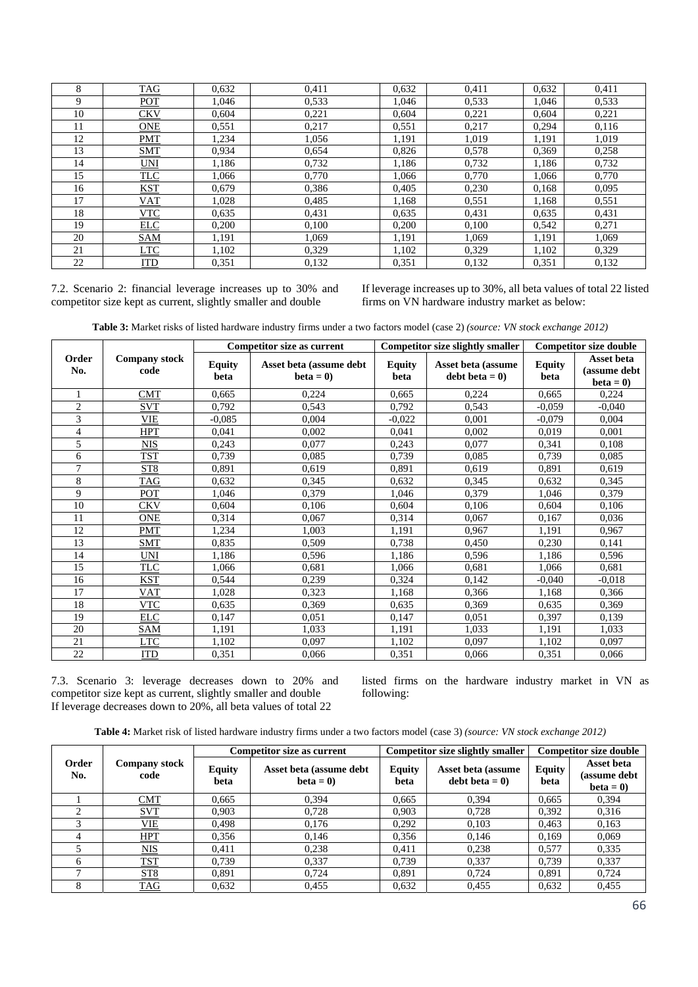| 8  | <b>TAG</b> | 0,632 | 0,411 | 0,632 | 0,411 | 0,632 | 0,411 |
|----|------------|-------|-------|-------|-------|-------|-------|
| 9  | POT        | 1.046 | 0,533 | 1,046 | 0,533 | 1,046 | 0,533 |
| 10 | <b>CKV</b> | 0.604 | 0,221 | 0,604 | 0,221 | 0.604 | 0,221 |
| 11 | <b>ONE</b> | 0,551 | 0,217 | 0.551 | 0,217 | 0.294 | 0,116 |
| 12 | <b>PMT</b> | 1,234 | 1,056 | 1,191 | 1,019 | 1,191 | 1,019 |
| 13 | <b>SMT</b> | 0,934 | 0,654 | 0,826 | 0,578 | 0,369 | 0,258 |
| 14 | UNI        | 1,186 | 0,732 | 1,186 | 0,732 | 1,186 | 0,732 |
| 15 | <b>TLC</b> | 1,066 | 0,770 | 1,066 | 0,770 | 1,066 | 0,770 |
| 16 | <b>KST</b> | 0.679 | 0,386 | 0.405 | 0,230 | 0,168 | 0,095 |
| 17 | <b>VAT</b> | 1,028 | 0,485 | 1,168 | 0,551 | 1,168 | 0,551 |
| 18 | <b>VTC</b> | 0,635 | 0,431 | 0,635 | 0,431 | 0,635 | 0,431 |
| 19 | <b>ELC</b> | 0.200 | 0,100 | 0,200 | 0,100 | 0,542 | 0,271 |
| 20 | SAM        | 1,191 | 1.069 | 1,191 | 1,069 | 1,191 | 1,069 |
| 21 | <u>LTC</u> | 1,102 | 0,329 | 1,102 | 0,329 | 1,102 | 0,329 |
| 22 | <b>ITD</b> | 0,351 | 0,132 | 0.351 | 0,132 | 0.351 | 0,132 |

7.2. Scenario 2: financial leverage increases up to 30% and competitor size kept as current, slightly smaller and double

If leverage increases up to 30%, all beta values of total 22 listed firms on VN hardware industry market as below:

| <b>Table 3:</b> Market risks of listed hardware industry firms under a two factors model (case 2) (source: VN stock exchange 2012) |  |  |  |  |
|------------------------------------------------------------------------------------------------------------------------------------|--|--|--|--|
|------------------------------------------------------------------------------------------------------------------------------------|--|--|--|--|

|                |                              |                       | Competitor size as current            |                       | <b>Competitor size slightly smaller</b> |                       | <b>Competitor size double</b>            |
|----------------|------------------------------|-----------------------|---------------------------------------|-----------------------|-----------------------------------------|-----------------------|------------------------------------------|
| Order<br>No.   | <b>Company stock</b><br>code | <b>Equity</b><br>beta | Asset beta (assume debt<br>$beta = 0$ | <b>Equity</b><br>beta | Asset beta (assume<br>debt beta $= 0$ ) | <b>Equity</b><br>beta | Asset beta<br>(assume debt<br>$beta = 0$ |
|                | CMT                          | 0.665                 | 0,224                                 | 0.665                 | 0,224                                   | 0.665                 | 0,224                                    |
| $\overline{2}$ | <b>SVT</b>                   | 0,792                 | 0,543                                 | 0,792                 | 0,543                                   | $-0.059$              | $-0,040$                                 |
| 3              | <b>VIE</b>                   | $-0.085$              | 0,004                                 | $-0.022$              | 0.001                                   | $-0.079$              | 0,004                                    |
| 4              | <b>HPT</b>                   | 0.041                 | 0,002                                 | 0,041                 | 0,002                                   | 0,019                 | 0,001                                    |
| 5              | <b>NIS</b>                   | 0,243                 | 0,077                                 | 0,243                 | 0,077                                   | 0,341                 | 0,108                                    |
| 6              | <b>TST</b>                   | 0,739                 | 0,085                                 | 0,739                 | 0,085                                   | 0,739                 | 0,085                                    |
| $\overline{7}$ | ST <sub>8</sub>              | 0,891                 | 0,619                                 | 0,891                 | 0,619                                   | 0,891                 | 0,619                                    |
| 8              | TAG                          | 0.632                 | 0,345                                 | 0,632                 | 0,345                                   | 0,632                 | 0,345                                    |
| 9              | POT                          | 1,046                 | 0,379                                 | 1,046                 | 0,379                                   | 1,046                 | 0,379                                    |
| 10             | CKV                          | 0,604                 | 0,106                                 | 0,604                 | 0,106                                   | 0,604                 | 0,106                                    |
| 11             | <b>ONE</b>                   | 0,314                 | 0,067                                 | 0,314                 | 0,067                                   | 0.167                 | 0,036                                    |
| 12             | PMT                          | 1,234                 | 1,003                                 | 1,191                 | 0,967                                   | 1,191                 | 0,967                                    |
| 13             | <b>SMT</b>                   | 0,835                 | 0,509                                 | 0,738                 | 0,450                                   | 0,230                 | 0,141                                    |
| 14             | UNI                          | 1,186                 | 0,596                                 | 1,186                 | 0,596                                   | 1,186                 | 0,596                                    |
| 15             | <b>TLC</b>                   | 1,066                 | 0,681                                 | 1,066                 | 0,681                                   | 1,066                 | 0,681                                    |
| 16             | <b>KST</b>                   | 0,544                 | 0,239                                 | 0,324                 | 0,142                                   | $-0,040$              | $-0,018$                                 |
| 17             | VAT                          | 1,028                 | 0,323                                 | 1,168                 | 0,366                                   | 1,168                 | 0,366                                    |
| 18             | <b>VTC</b>                   | 0,635                 | 0,369                                 | 0,635                 | 0,369                                   | 0.635                 | 0,369                                    |
| 19             | <b>ELC</b>                   | 0,147                 | 0,051                                 | 0,147                 | 0,051                                   | 0,397                 | 0,139                                    |
| 20             | SAM                          | 1,191                 | 1,033                                 | 1,191                 | 1,033                                   | 1,191                 | 1,033                                    |
| 21             | <b>LTC</b>                   | 1,102                 | 0,097                                 | 1,102                 | 0,097                                   | 1,102                 | 0,097                                    |
| 22             | <b>ITD</b>                   | 0,351                 | 0,066                                 | 0,351                 | 0,066                                   | 0,351                 | 0,066                                    |

7.3. Scenario 3: leverage decreases down to 20% and competitor size kept as current, slightly smaller and double If leverage decreases down to 20%, all beta values of total 22

listed firms on the hardware industry market in VN as following:

**Table 4:** Market risk of listed hardware industry firms under a two factors model (case 3) *(source: VN stock exchange 2012)*

|              |                              |                       | <b>Competitor size as current</b>     |                       | <b>Competitor size slightly smaller</b> | <b>Competitor size double</b> |                                          |  |
|--------------|------------------------------|-----------------------|---------------------------------------|-----------------------|-----------------------------------------|-------------------------------|------------------------------------------|--|
| Order<br>No. | <b>Company stock</b><br>code | <b>Equity</b><br>beta | Asset beta (assume debt<br>$beta = 0$ | <b>Equity</b><br>beta | Asset beta (assume<br>$debt beta = 0$   | Equity<br>beta                | Asset beta<br>(assume debt<br>$beta = 0$ |  |
|              | CMT                          | 0.665                 | 0.394                                 | 0.665                 | 0.394                                   | 0.665                         | 0,394                                    |  |
|              | <b>SVT</b>                   | 0.903                 | 0.728                                 | 0.903                 | 0.728                                   | 0.392                         | 0,316                                    |  |
|              | VIE                          | 0.498                 | 0.176                                 | 0.292                 | 0.103                                   | 0.463                         | 0,163                                    |  |
|              | HPT                          | 0,356                 | 0.146                                 | 0,356                 | 0.146                                   | 0,169                         | 0.069                                    |  |
|              | MIS                          | 0.411                 | 0,238                                 | 0.411                 | 0,238                                   | 0.577                         | 0,335                                    |  |
| 6            | <b>TST</b>                   | 0.739                 | 0,337                                 | 0.739                 | 0,337                                   | 0.739                         | 0,337                                    |  |
|              | ST8                          | 0.891                 | 0.724                                 | 0,891                 | 0.724                                   | 0,891                         | 0,724                                    |  |
| 8            | <b>TAG</b>                   | 0,632                 | 0,455                                 | 0,632                 | 0,455                                   | 0,632                         | 0,455                                    |  |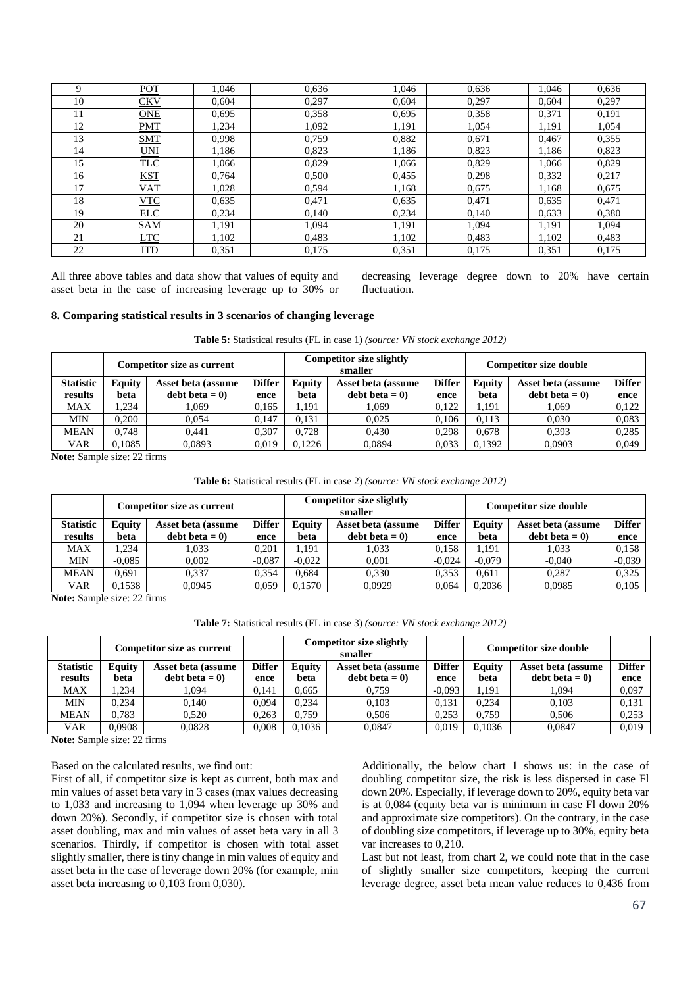| Q  | POT        | 1.046 | 0,636 | 1.046 | 0.636 | 1,046 | 0,636 |
|----|------------|-------|-------|-------|-------|-------|-------|
| 10 | <b>CKV</b> | 0,604 | 0,297 | 0,604 | 0,297 | 0,604 | 0,297 |
| 11 | <b>ONE</b> | 0.695 | 0,358 | 0,695 | 0,358 | 0,371 | 0,191 |
| 12 | <b>PMT</b> | .234  | 1,092 | 1,191 | 1,054 | 1,191 | 1,054 |
| 13 | <b>SMT</b> | 0.998 | 0.759 | 0,882 | 0,671 | 0,467 | 0,355 |
| 14 | <b>UNI</b> | 1,186 | 0,823 | 1,186 | 0,823 | 1,186 | 0,823 |
| 15 | <b>TLC</b> | 1.066 | 0,829 | 1,066 | 0,829 | 1,066 | 0,829 |
| 16 | <b>KST</b> | 0.764 | 0.500 | 0,455 | 0,298 | 0,332 | 0.217 |
| 17 | <b>VAT</b> | 1,028 | 0,594 | 1,168 | 0,675 | 1,168 | 0,675 |
| 18 | VTC        | 0,635 | 0.471 | 0,635 | 0,471 | 0,635 | 0,471 |
| 19 | <b>ELC</b> | 0.234 | 0,140 | 0,234 | 0.140 | 0,633 | 0,380 |
| 20 | <b>SAM</b> | 1,191 | 1.094 | 1,191 | 1.094 | 1,191 | 1,094 |
| 21 | <b>LTC</b> | 1,102 | 0.483 | 1,102 | 0,483 | 1,102 | 0,483 |
| 22 | <u>ITD</u> | 0.351 | 0,175 | 0,351 | 0,175 | 0,351 | 0,175 |

All three above tables and data show that values of equity and asset beta in the case of increasing leverage up to 30% or decreasing leverage degree down to 20% have certain fluctuation.

## **8. Comparing statistical results in 3 scenarios of changing leverage**

|  | <b>Table 5:</b> Statistical results (FL in case 1) (source: VN stock exchange 2012) |  |  |  |  |  |
|--|-------------------------------------------------------------------------------------|--|--|--|--|--|
|  |                                                                                     |  |  |  |  |  |

|                  |        | <b>Competitor size as current</b> |               |                              | <b>Competitor size slightly</b><br>smaller |               | <b>Competitor size double</b> |                    |               |
|------------------|--------|-----------------------------------|---------------|------------------------------|--------------------------------------------|---------------|-------------------------------|--------------------|---------------|
| <b>Statistic</b> | Equity | Asset beta (assume                | <b>Differ</b> | Equity<br>Asset beta (assume |                                            | <b>Differ</b> | <b>Equity</b>                 | Asset beta (assume | <b>Differ</b> |
| results          | beta   | $\text{debt} \text{ beta} = 0$    | ence          | beta                         | debt beta $= 0$                            | ence          | beta                          | $debt beta = 0$    | ence          |
| <b>MAX</b>       | .234   | . 069                             | 0.165         | 1.191                        | 1.069                                      | 0.122         | 1.191                         | .069               | 0,122         |
| <b>MIN</b>       | 0.200  | 0.054                             | 0.147         | 0.131                        | 0.025                                      | 0.106         | 0.113                         | 0.030              | 0,083         |
| <b>MEAN</b>      | 0.748  | 0.441                             | 0.307         | 0.728                        | 0.430                                      | 0.298         | 0.678                         | 0.393              | 0,285         |
| <b>VAR</b>       | 0.1085 | 0,0893                            | 0,019         | 0.1226                       | 0.0894                                     | 0.033         | 0,1392                        | 0.0903             | 0,049         |

**Note:** Sample size: 22 firms

### **Table 6:** Statistical results (FL in case 2) *(source: VN stock exchange 2012)*

|                  | <b>Competitor size as current</b> |                                |               |          | Competitor size slightly<br>smaller |               | <b>Competitor size double</b>       |                 |               |
|------------------|-----------------------------------|--------------------------------|---------------|----------|-------------------------------------|---------------|-------------------------------------|-----------------|---------------|
| <b>Statistic</b> | Equity                            | Asset beta (assume             | <b>Differ</b> | Equity   | Asset beta (assume                  | <b>Differ</b> | <b>Equity</b><br>Asset beta (assume |                 | <b>Differ</b> |
| results          | beta                              | $\text{debt} \text{ beta} = 0$ | ence          | beta     | $debt beta = 0$                     | ence          | beta                                | debt beta $= 0$ | ence          |
| <b>MAX</b>       | .234                              | 1.033                          | 0.201         | 1.191    | 1.033                               | 0.158         | 1.191                               | 1.033           | 0,158         |
| <b>MIN</b>       | $-0.085$                          | 0.002                          | $-0.087$      | $-0.022$ | 0.001                               | $-0.024$      | $-0.079$                            | $-0.040$        | $-0.039$      |
| <b>MEAN</b>      | 0.691                             | 0.337                          | 0.354         | 0.684    | 0.330                               | 0,353         | 0.611                               | 0.287           | 0.325         |
| <b>VAR</b>       | 0.1538                            | 0,0945                         | 0.059         | 0,1570   | 0.0929                              | 0,064         | 0,2036                              | 0.0985          | 0.105         |

**Note:** Sample size: 22 firms

| <b>Table 7:</b> Statistical results (FL in case 3) (source: VN stock exchange 2012) |  |  |  |
|-------------------------------------------------------------------------------------|--|--|--|
|-------------------------------------------------------------------------------------|--|--|--|

|                  |        | <b>Competitor size as current</b> |               | <b>Competitor size slightly</b><br>smaller |                    |               | <b>Competitor size double</b> |                    |               |
|------------------|--------|-----------------------------------|---------------|--------------------------------------------|--------------------|---------------|-------------------------------|--------------------|---------------|
| <b>Statistic</b> | Equity | Asset beta (assume                | <b>Differ</b> | Equity                                     | Asset beta (assume | <b>Differ</b> | Equity                        | Asset beta (assume | <b>Differ</b> |
| results          | beta   | $\text{debt} \text{ beta} = 0$    | ence          | beta                                       | $debt beta = 0$    | ence          | beta                          | debt beta $= 0$    | ence          |
| <b>MAX</b>       | .234   | 1,094                             | 0.141         | 0.665                                      | 0.759              | $-0.093$      | 1.191                         | .094               | 0,097         |
| <b>MIN</b>       | 0.234  | 0.140                             | 0.094         | 0.234                                      | 0,103              | 0,131         | 0.234                         | 0,103              | 0,131         |
| <b>MEAN</b>      | 0.783  | 0.520                             | 0.263         | 0.759                                      | 0.506              | 0.253         | 0.759                         | 0,506              | 0,253         |
| <b>VAR</b>       | 0.0908 | 0.0828                            | 0,008         | 0,1036                                     | 0.0847             | 0,019         | 0.1036                        | 0,0847             | 0.019         |

**Note:** Sample size: 22 firms

Based on the calculated results, we find out:

First of all, if competitor size is kept as current, both max and min values of asset beta vary in 3 cases (max values decreasing to 1,033 and increasing to 1,094 when leverage up 30% and down 20%). Secondly, if competitor size is chosen with total asset doubling, max and min values of asset beta vary in all 3 scenarios. Thirdly, if competitor is chosen with total asset slightly smaller, there is tiny change in min values of equity and asset beta in the case of leverage down 20% (for example, min asset beta increasing to 0,103 from 0,030).

Additionally, the below chart 1 shows us: in the case of doubling competitor size, the risk is less dispersed in case Fl down 20%. Especially, if leverage down to 20%, equity beta var is at 0,084 (equity beta var is minimum in case Fl down 20% and approximate size competitors). On the contrary, in the case of doubling size competitors, if leverage up to 30%, equity beta var increases to 0,210.

Last but not least, from chart 2, we could note that in the case of slightly smaller size competitors, keeping the current leverage degree, asset beta mean value reduces to 0,436 from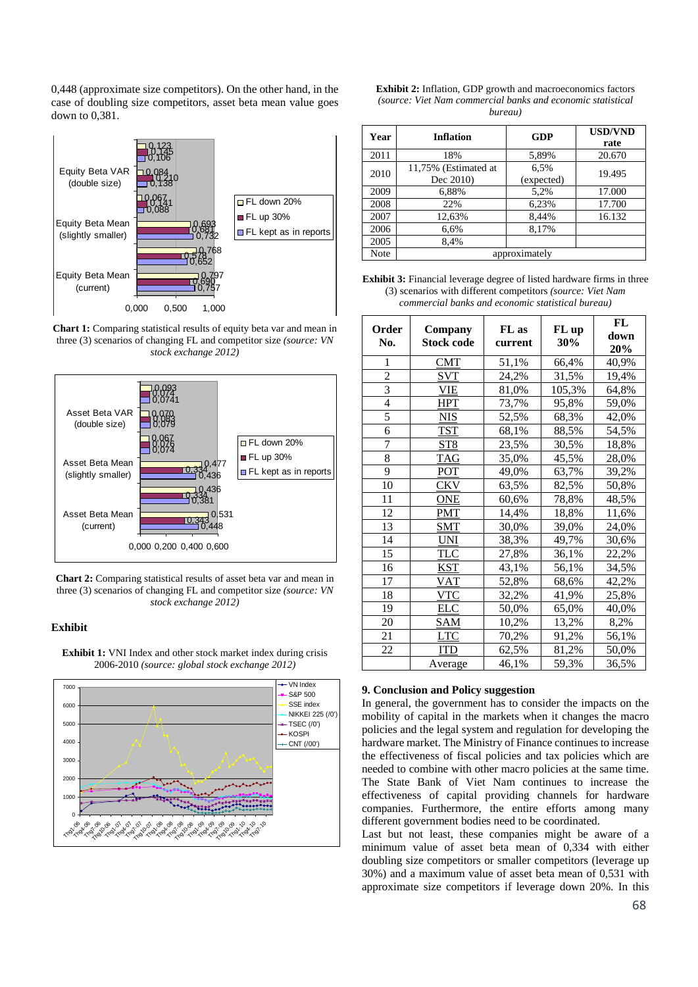0,448 (approximate size competitors). On the other hand, in the case of doubling size competitors, asset beta mean value goes down to 0,381.



**Chart 1:** Comparing statistical results of equity beta var and mean in three (3) scenarios of changing FL and competitor size *(source: VN stock exchange 2012)* 



**Chart 2:** Comparing statistical results of asset beta var and mean in three (3) scenarios of changing FL and competitor size *(source: VN stock exchange 2012)*

## **Exhibit**



**Exhibit 1:** VNI Index and other stock market index during crisis 2006-2010 *(source: global stock exchange 2012)*

| <b>Exhibit 2:</b> Inflation, GDP growth and macroeconomics factors |  |  |  |  |
|--------------------------------------------------------------------|--|--|--|--|
| (source: Viet Nam commercial banks and economic statistical        |  |  |  |  |
| bureau)                                                            |  |  |  |  |

| Year | <b>Inflation</b>     | <b>GDP</b> | <b>USD/VND</b> |  |  |
|------|----------------------|------------|----------------|--|--|
|      |                      |            | rate           |  |  |
| 2011 | 18%                  | 5,89%      | 20.670         |  |  |
| 2010 | 11,75% (Estimated at | 6,5%       | 19.495         |  |  |
|      | Dec 2010)            | (expected) |                |  |  |
| 2009 | 6,88%                | 5,2%       | 17.000         |  |  |
| 2008 | 22%                  | 6,23%      | 17.700         |  |  |
| 2007 | 12,63%               | 8,44%      | 16.132         |  |  |
| 2006 | 6,6%                 | 8,17%      |                |  |  |
| 2005 | 8.4%                 |            |                |  |  |
| Note | approximately        |            |                |  |  |

**Exhibit 3:** Financial leverage degree of listed hardware firms in three (3) scenarios with different competitors *(source: Viet Nam commercial banks and economic statistical bureau)*

| Order<br>No.   | Company<br><b>Stock code</b> | FL as<br>current | FL up<br>30% | FL<br>down<br>20% |
|----------------|------------------------------|------------------|--------------|-------------------|
| 1              | CMT                          | 51,1%            | 66,4%        | 40,9%             |
| $\overline{c}$ | <b>SVT</b>                   | 24,2%            | 31,5%        | 19,4%             |
| 3              | VIE                          | 81,0%            | 105,3%       | 64,8%             |
| $\overline{4}$ | HPT                          | 73,7%            | 95,8%        | 59,0%             |
| 5              | <u>NIS</u>                   | 52,5%            | 68,3%        | 42,0%             |
| 6              | TST                          | 68,1%            | 88,5%        | 54,5%             |
| 7              | ST8                          | 23,5%            | 30,5%        | 18,8%             |
| 8              | TAG                          | 35,0%            | 45,5%        | 28,0%             |
| 9              | <b>POT</b>                   | 49,0%            | 63,7%        | 39,2%             |
| 10             | CKV                          | 63,5%            | 82,5%        | 50,8%             |
| 11             | <u>ONE</u>                   | 60,6%            | 78,8%        | 48,5%             |
| 12             | <b>PMT</b>                   | 14,4%            | 18,8%        | 11,6%             |
| 13             | ${\rm SMT}$                  | 30,0%            | 39,0%        | 24,0%             |
| 14             | UNI                          | 38,3%            | 49,7%        | 30,6%             |
| 15             | TLC                          | 27,8%            | 36,1%        | 22,2%             |
| 16             | KST                          | 43,1%            | 56,1%        | 34,5%             |
| 17             | <b>VAT</b>                   | 52,8%            | 68,6%        | 42,2%             |
| 18             | VTC                          | 32,2%            | 41,9%        | 25,8%             |
| 19             | <b>ELC</b>                   | 50,0%            | 65,0%        | 40,0%             |
| 20             | <u>SAM</u>                   | 10,2%            | 13,2%        | 8,2%              |
| 21             | <b>LTC</b>                   | 70,2%            | 91,2%        | 56,1%             |
| 22             | ITD                          | 62,5%            | 81,2%        | 50,0%             |
|                | Average                      | 46,1%            | 59,3%        | 36,5%             |

### **9. Conclusion and Policy suggestion**

In general, the government has to consider the impacts on the mobility of capital in the markets when it changes the macro policies and the legal system and regulation for developing the hardware market. The Ministry of Finance continues to increase the effectiveness of fiscal policies and tax policies which are needed to combine with other macro policies at the same time. The State Bank of Viet Nam continues to increase the effectiveness of capital providing channels for hardware companies. Furthermore, the entire efforts among many different government bodies need to be coordinated.

Last but not least, these companies might be aware of a minimum value of asset beta mean of 0,334 with either doubling size competitors or smaller competitors (leverage up 30%) and a maximum value of asset beta mean of 0,531 with approximate size competitors if leverage down 20%. In this